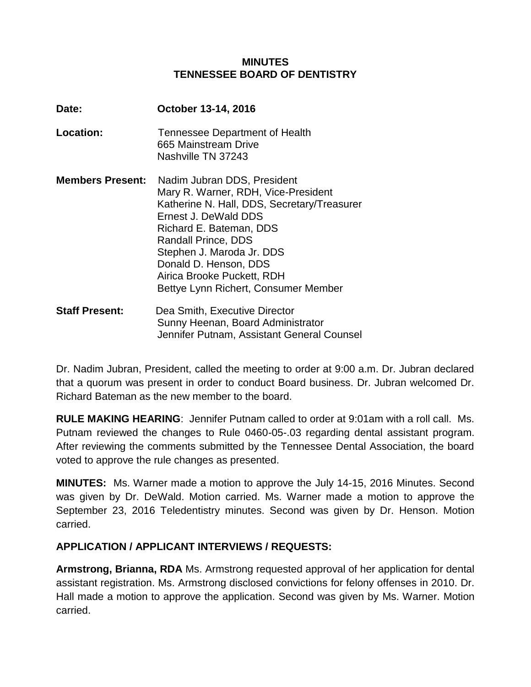#### **MINUTES TENNESSEE BOARD OF DENTISTRY**

| Date:                   | October 13-14, 2016                                                                                                                                                                                                                                                                                                     |
|-------------------------|-------------------------------------------------------------------------------------------------------------------------------------------------------------------------------------------------------------------------------------------------------------------------------------------------------------------------|
| Location:               | Tennessee Department of Health<br>665 Mainstream Drive<br>Nashville TN 37243                                                                                                                                                                                                                                            |
| <b>Members Present:</b> | Nadim Jubran DDS, President<br>Mary R. Warner, RDH, Vice-President<br>Katherine N. Hall, DDS, Secretary/Treasurer<br>Ernest J. DeWald DDS<br>Richard E. Bateman, DDS<br>Randall Prince, DDS<br>Stephen J. Maroda Jr. DDS<br>Donald D. Henson, DDS<br>Airica Brooke Puckett, RDH<br>Bettye Lynn Richert, Consumer Member |
| <b>Staff Present:</b>   | Dea Smith, Executive Director<br>Sunny Heenan, Board Administrator<br>Jennifer Putnam. Assistant General Counsel                                                                                                                                                                                                        |

Dr. Nadim Jubran, President, called the meeting to order at 9:00 a.m. Dr. Jubran declared that a quorum was present in order to conduct Board business. Dr. Jubran welcomed Dr. Richard Bateman as the new member to the board.

**RULE MAKING HEARING**: Jennifer Putnam called to order at 9:01am with a roll call. Ms. Putnam reviewed the changes to Rule 0460-05-.03 regarding dental assistant program. After reviewing the comments submitted by the Tennessee Dental Association, the board voted to approve the rule changes as presented.

**MINUTES:** Ms. Warner made a motion to approve the July 14-15, 2016 Minutes. Second was given by Dr. DeWald. Motion carried. Ms. Warner made a motion to approve the September 23, 2016 Teledentistry minutes. Second was given by Dr. Henson. Motion carried.

### **APPLICATION / APPLICANT INTERVIEWS / REQUESTS:**

**Armstrong, Brianna, RDA** Ms. Armstrong requested approval of her application for dental assistant registration. Ms. Armstrong disclosed convictions for felony offenses in 2010. Dr. Hall made a motion to approve the application. Second was given by Ms. Warner. Motion carried.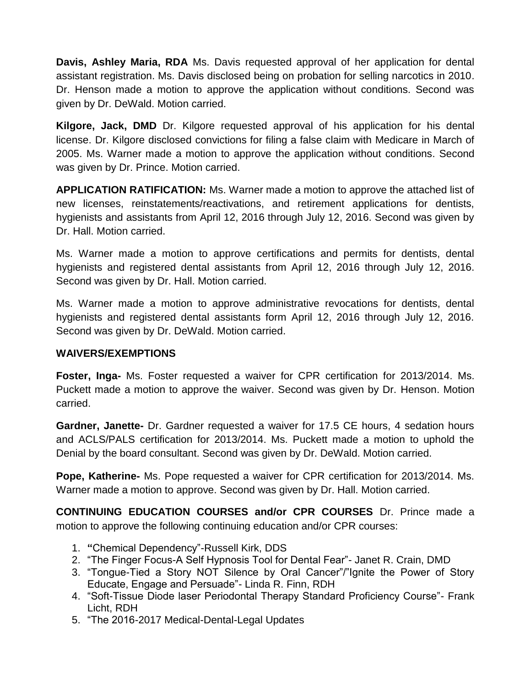**Davis, Ashley Maria, RDA** Ms. Davis requested approval of her application for dental assistant registration. Ms. Davis disclosed being on probation for selling narcotics in 2010. Dr. Henson made a motion to approve the application without conditions. Second was given by Dr. DeWald. Motion carried.

**Kilgore, Jack, DMD** Dr. Kilgore requested approval of his application for his dental license. Dr. Kilgore disclosed convictions for filing a false claim with Medicare in March of 2005. Ms. Warner made a motion to approve the application without conditions. Second was given by Dr. Prince. Motion carried.

**APPLICATION RATIFICATION:** Ms. Warner made a motion to approve the attached list of new licenses, reinstatements/reactivations, and retirement applications for dentists, hygienists and assistants from April 12, 2016 through July 12, 2016. Second was given by Dr. Hall. Motion carried.

Ms. Warner made a motion to approve certifications and permits for dentists, dental hygienists and registered dental assistants from April 12, 2016 through July 12, 2016. Second was given by Dr. Hall. Motion carried.

Ms. Warner made a motion to approve administrative revocations for dentists, dental hygienists and registered dental assistants form April 12, 2016 through July 12, 2016. Second was given by Dr. DeWald. Motion carried.

### **WAIVERS/EXEMPTIONS**

**Foster, Inga-** Ms. Foster requested a waiver for CPR certification for 2013/2014. Ms. Puckett made a motion to approve the waiver. Second was given by Dr. Henson. Motion carried.

**Gardner, Janette-** Dr. Gardner requested a waiver for 17.5 CE hours, 4 sedation hours and ACLS/PALS certification for 2013/2014. Ms. Puckett made a motion to uphold the Denial by the board consultant. Second was given by Dr. DeWald. Motion carried.

**Pope, Katherine-** Ms. Pope requested a waiver for CPR certification for 2013/2014. Ms. Warner made a motion to approve. Second was given by Dr. Hall. Motion carried.

**CONTINUING EDUCATION COURSES and/or CPR COURSES** Dr. Prince made a motion to approve the following continuing education and/or CPR courses:

- 1. **"**Chemical Dependency"-Russell Kirk, DDS
- 2. "The Finger Focus-A Self Hypnosis Tool for Dental Fear"- Janet R. Crain, DMD
- 3. "Tongue-Tied a Story NOT Silence by Oral Cancer"/"Ignite the Power of Story Educate, Engage and Persuade"- Linda R. Finn, RDH
- 4. "Soft-Tissue Diode laser Periodontal Therapy Standard Proficiency Course"- Frank Licht, RDH
- 5. "The 2016-2017 Medical-Dental-Legal Updates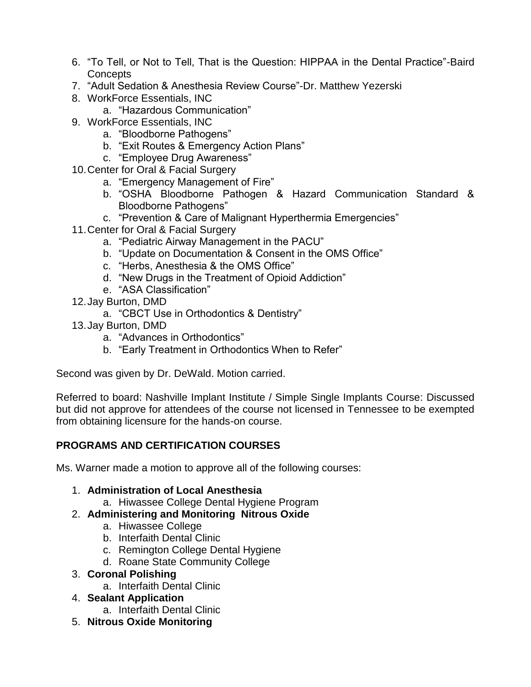- 6. "To Tell, or Not to Tell, That is the Question: HIPPAA in the Dental Practice"-Baird **Concepts**
- 7. "Adult Sedation & Anesthesia Review Course"-Dr. Matthew Yezerski
- 8. WorkForce Essentials, INC
	- a. "Hazardous Communication"
- 9. WorkForce Essentials, INC
	- a. "Bloodborne Pathogens"
	- b. "Exit Routes & Emergency Action Plans"
	- c. "Employee Drug Awareness"
- 10.Center for Oral & Facial Surgery
	- a. "Emergency Management of Fire"
	- b. "OSHA Bloodborne Pathogen & Hazard Communication Standard & Bloodborne Pathogens"
	- c. "Prevention & Care of Malignant Hyperthermia Emergencies"
- 11.Center for Oral & Facial Surgery
	- a. "Pediatric Airway Management in the PACU"
	- b. "Update on Documentation & Consent in the OMS Office"
	- c. "Herbs, Anesthesia & the OMS Office"
	- d. "New Drugs in the Treatment of Opioid Addiction"
	- e. "ASA Classification"
- 12.Jay Burton, DMD
	- a. "CBCT Use in Orthodontics & Dentistry"
- 13.Jay Burton, DMD
	- a. "Advances in Orthodontics"
	- b. "Early Treatment in Orthodontics When to Refer"

Second was given by Dr. DeWald. Motion carried.

Referred to board: Nashville Implant Institute / Simple Single Implants Course: Discussed but did not approve for attendees of the course not licensed in Tennessee to be exempted from obtaining licensure for the hands-on course.

# **PROGRAMS AND CERTIFICATION COURSES**

Ms. Warner made a motion to approve all of the following courses:

### 1. **Administration of Local Anesthesia**

- a. Hiwassee College Dental Hygiene Program
- 2. **Administering and Monitoring Nitrous Oxide** 
	- a. Hiwassee College
	- b. Interfaith Dental Clinic
	- c. Remington College Dental Hygiene
	- d. Roane State Community College

# 3. **Coronal Polishing**

- a. Interfaith Dental Clinic
- 4. **Sealant Application** 
	- a. Interfaith Dental Clinic
- 5. **Nitrous Oxide Monitoring**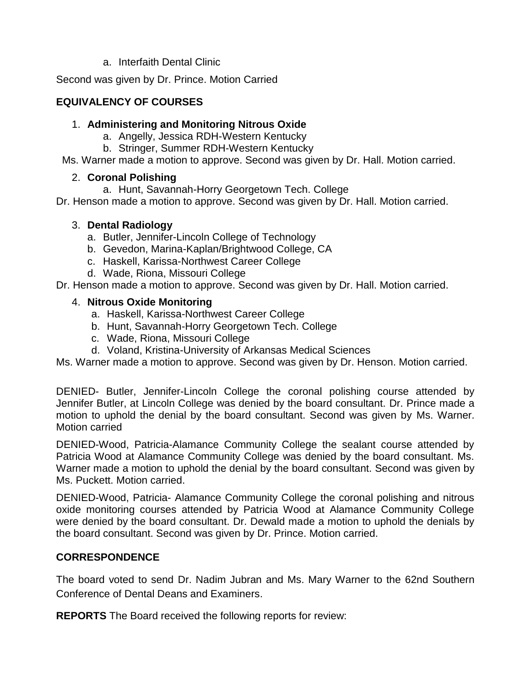a. Interfaith Dental Clinic

Second was given by Dr. Prince. Motion Carried

### **EQUIVALENCY OF COURSES**

#### 1. **Administering and Monitoring Nitrous Oxide**

- a. Angelly, Jessica RDH-Western Kentucky
- b. Stringer, Summer RDH-Western Kentucky

Ms. Warner made a motion to approve. Second was given by Dr. Hall. Motion carried.

#### 2. **Coronal Polishing**

a. Hunt, Savannah-Horry Georgetown Tech. College

Dr. Henson made a motion to approve. Second was given by Dr. Hall. Motion carried.

#### 3. **Dental Radiology**

- a. Butler, Jennifer-Lincoln College of Technology
- b. Gevedon, Marina-Kaplan/Brightwood College, CA
- c. Haskell, Karissa-Northwest Career College
- d. Wade, Riona, Missouri College

Dr. Henson made a motion to approve. Second was given by Dr. Hall. Motion carried.

#### 4. **Nitrous Oxide Monitoring**

- a. Haskell, Karissa-Northwest Career College
- b. Hunt, Savannah-Horry Georgetown Tech. College
- c. Wade, Riona, Missouri College
- d. Voland, Kristina-University of Arkansas Medical Sciences

Ms. Warner made a motion to approve. Second was given by Dr. Henson. Motion carried.

DENIED- Butler, Jennifer-Lincoln College the coronal polishing course attended by Jennifer Butler, at Lincoln College was denied by the board consultant. Dr. Prince made a motion to uphold the denial by the board consultant. Second was given by Ms. Warner. Motion carried

DENIED-Wood, Patricia-Alamance Community College the sealant course attended by Patricia Wood at Alamance Community College was denied by the board consultant. Ms. Warner made a motion to uphold the denial by the board consultant. Second was given by Ms. Puckett. Motion carried.

DENIED-Wood, Patricia- Alamance Community College the coronal polishing and nitrous oxide monitoring courses attended by Patricia Wood at Alamance Community College were denied by the board consultant. Dr. Dewald made a motion to uphold the denials by the board consultant. Second was given by Dr. Prince. Motion carried.

### **CORRESPONDENCE**

The board voted to send Dr. Nadim Jubran and Ms. Mary Warner to the 62nd Southern Conference of Dental Deans and Examiners.

**REPORTS** The Board received the following reports for review: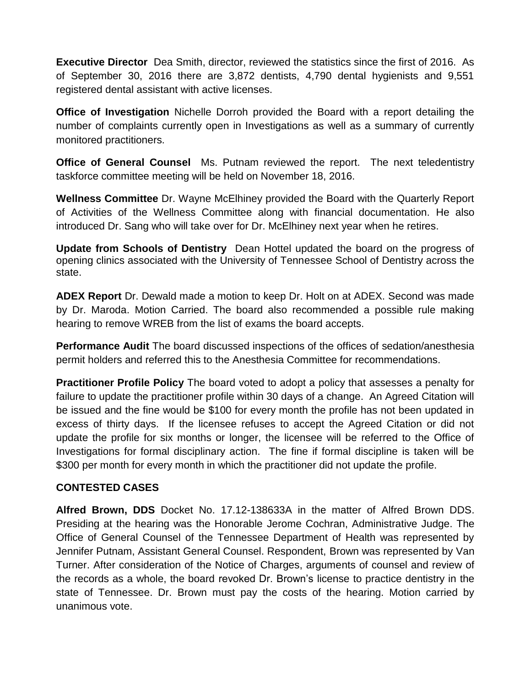**Executive Director** Dea Smith, director, reviewed the statistics since the first of 2016. As of September 30, 2016 there are 3,872 dentists, 4,790 dental hygienists and 9,551 registered dental assistant with active licenses.

**Office of Investigation** Nichelle Dorroh provided the Board with a report detailing the number of complaints currently open in Investigations as well as a summary of currently monitored practitioners.

**Office of General Counsel** Ms. Putnam reviewed the report. The next teledentistry taskforce committee meeting will be held on November 18, 2016.

**Wellness Committee** Dr. Wayne McElhiney provided the Board with the Quarterly Report of Activities of the Wellness Committee along with financial documentation. He also introduced Dr. Sang who will take over for Dr. McElhiney next year when he retires.

**Update from Schools of Dentistry** Dean Hottel updated the board on the progress of opening clinics associated with the University of Tennessee School of Dentistry across the state.

**ADEX Report** Dr. Dewald made a motion to keep Dr. Holt on at ADEX. Second was made by Dr. Maroda. Motion Carried. The board also recommended a possible rule making hearing to remove WREB from the list of exams the board accepts.

**Performance Audit** The board discussed inspections of the offices of sedation/anesthesia permit holders and referred this to the Anesthesia Committee for recommendations.

**Practitioner Profile Policy** The board voted to adopt a policy that assesses a penalty for failure to update the practitioner profile within 30 days of a change. An Agreed Citation will be issued and the fine would be \$100 for every month the profile has not been updated in excess of thirty days. If the licensee refuses to accept the Agreed Citation or did not update the profile for six months or longer, the licensee will be referred to the Office of Investigations for formal disciplinary action. The fine if formal discipline is taken will be \$300 per month for every month in which the practitioner did not update the profile.

### **CONTESTED CASES**

**Alfred Brown, DDS** Docket No. 17.12-138633A in the matter of Alfred Brown DDS. Presiding at the hearing was the Honorable Jerome Cochran, Administrative Judge. The Office of General Counsel of the Tennessee Department of Health was represented by Jennifer Putnam, Assistant General Counsel. Respondent, Brown was represented by Van Turner. After consideration of the Notice of Charges, arguments of counsel and review of the records as a whole, the board revoked Dr. Brown's license to practice dentistry in the state of Tennessee. Dr. Brown must pay the costs of the hearing. Motion carried by unanimous vote.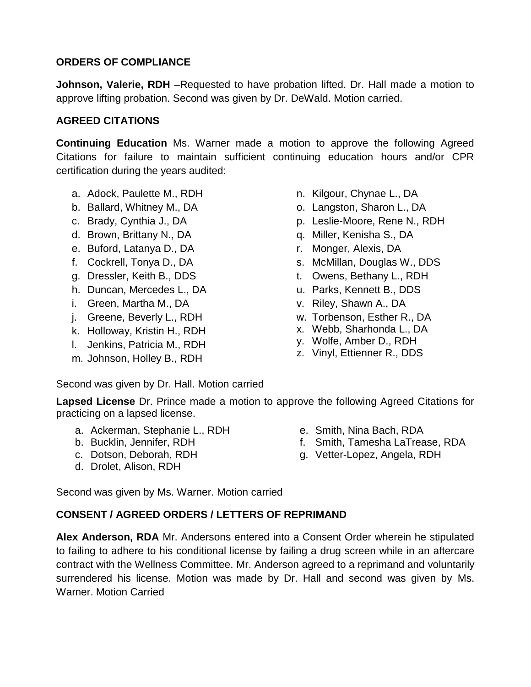### **ORDERS OF COMPLIANCE**

**Johnson, Valerie, RDH** –Requested to have probation lifted. Dr. Hall made a motion to approve lifting probation. Second was given by Dr. DeWald. Motion carried.

### **AGREED CITATIONS**

**Continuing Education** Ms. Warner made a motion to approve the following Agreed Citations for failure to maintain sufficient continuing education hours and/or CPR certification during the years audited:

- a. Adock, Paulette M., RDH
- b. Ballard, Whitney M., DA
- c. Brady, Cynthia J., DA
- d. Brown, Brittany N., DA
- e. Buford, Latanya D., DA
- f. Cockrell, Tonya D., DA
- g. Dressler, Keith B., DDS
- h. Duncan, Mercedes L., DA
- i. Green, Martha M., DA
- j. Greene, Beverly L., RDH
- k. Holloway, Kristin H., RDH
- l. Jenkins, Patricia M., RDH
- m. Johnson, Holley B., RDH
- n. Kilgour, Chynae L., DA
- o. Langston, Sharon L., DA
- p. Leslie-Moore, Rene N., RDH
- q. Miller, Kenisha S., DA
- r. Monger, Alexis, DA
- s. McMillan, Douglas W., DDS
- t. Owens, Bethany L., RDH
- u. Parks, Kennett B., DDS
- v. Riley, Shawn A., DA
- w. Torbenson, Esther R., DA
- x. Webb, Sharhonda L., DA
- y. Wolfe, Amber D., RDH
- z. Vinyl, Ettienner R., DDS

Second was given by Dr. Hall. Motion carried

**Lapsed License** Dr. Prince made a motion to approve the following Agreed Citations for practicing on a lapsed license.

- a. Ackerman, Stephanie L., RDH
- b. Bucklin, Jennifer, RDH
- c. Dotson, Deborah, RDH
- d. Drolet, Alison, RDH

e. Smith, Nina Bach, RDA

- f. Smith, Tamesha LaTrease, RDA
	- g. Vetter-Lopez, Angela, RDH

Second was given by Ms. Warner. Motion carried

# **CONSENT / AGREED ORDERS / LETTERS OF REPRIMAND**

**Alex Anderson, RDA** Mr. Andersons entered into a Consent Order wherein he stipulated to failing to adhere to his conditional license by failing a drug screen while in an aftercare contract with the Wellness Committee. Mr. Anderson agreed to a reprimand and voluntarily surrendered his license. Motion was made by Dr. Hall and second was given by Ms. Warner. Motion Carried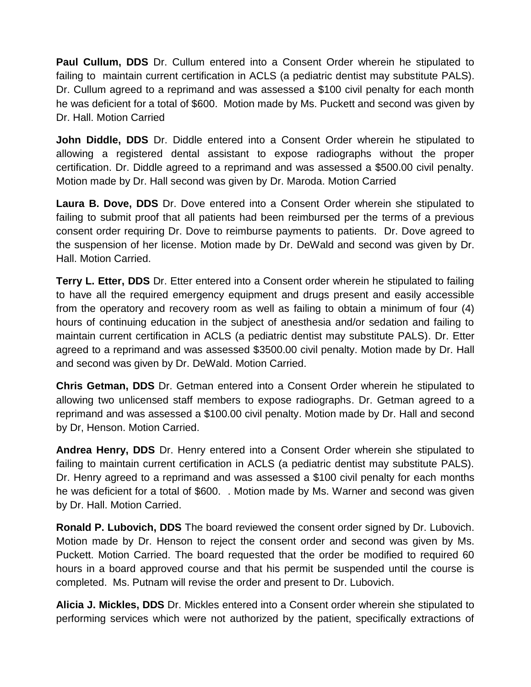**Paul Cullum, DDS** Dr. Cullum entered into a Consent Order wherein he stipulated to failing to maintain current certification in ACLS (a pediatric dentist may substitute PALS). Dr. Cullum agreed to a reprimand and was assessed a \$100 civil penalty for each month he was deficient for a total of \$600. Motion made by Ms. Puckett and second was given by Dr. Hall. Motion Carried

**John Diddle, DDS** Dr. Diddle entered into a Consent Order wherein he stipulated to allowing a registered dental assistant to expose radiographs without the proper certification. Dr. Diddle agreed to a reprimand and was assessed a \$500.00 civil penalty. Motion made by Dr. Hall second was given by Dr. Maroda. Motion Carried

**Laura B. Dove, DDS** Dr. Dove entered into a Consent Order wherein she stipulated to failing to submit proof that all patients had been reimbursed per the terms of a previous consent order requiring Dr. Dove to reimburse payments to patients. Dr. Dove agreed to the suspension of her license. Motion made by Dr. DeWald and second was given by Dr. Hall. Motion Carried.

**Terry L. Etter, DDS** Dr. Etter entered into a Consent order wherein he stipulated to failing to have all the required emergency equipment and drugs present and easily accessible from the operatory and recovery room as well as failing to obtain a minimum of four (4) hours of continuing education in the subject of anesthesia and/or sedation and failing to maintain current certification in ACLS (a pediatric dentist may substitute PALS). Dr. Etter agreed to a reprimand and was assessed \$3500.00 civil penalty. Motion made by Dr. Hall and second was given by Dr. DeWald. Motion Carried.

**Chris Getman, DDS** Dr. Getman entered into a Consent Order wherein he stipulated to allowing two unlicensed staff members to expose radiographs. Dr. Getman agreed to a reprimand and was assessed a \$100.00 civil penalty. Motion made by Dr. Hall and second by Dr, Henson. Motion Carried.

**Andrea Henry, DDS** Dr. Henry entered into a Consent Order wherein she stipulated to failing to maintain current certification in ACLS (a pediatric dentist may substitute PALS). Dr. Henry agreed to a reprimand and was assessed a \$100 civil penalty for each months he was deficient for a total of \$600. . Motion made by Ms. Warner and second was given by Dr. Hall. Motion Carried.

**Ronald P. Lubovich, DDS** The board reviewed the consent order signed by Dr. Lubovich. Motion made by Dr. Henson to reject the consent order and second was given by Ms. Puckett. Motion Carried. The board requested that the order be modified to required 60 hours in a board approved course and that his permit be suspended until the course is completed. Ms. Putnam will revise the order and present to Dr. Lubovich.

**Alicia J. Mickles, DDS** Dr. Mickles entered into a Consent order wherein she stipulated to performing services which were not authorized by the patient, specifically extractions of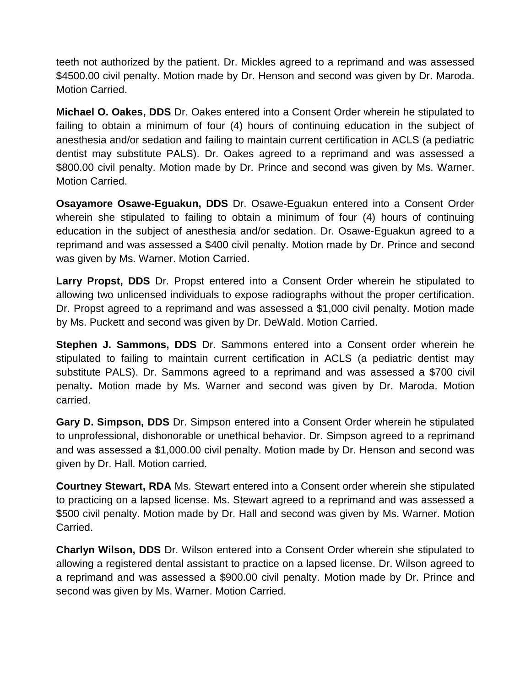teeth not authorized by the patient. Dr. Mickles agreed to a reprimand and was assessed \$4500.00 civil penalty. Motion made by Dr. Henson and second was given by Dr. Maroda. Motion Carried.

**Michael O. Oakes, DDS** Dr. Oakes entered into a Consent Order wherein he stipulated to failing to obtain a minimum of four (4) hours of continuing education in the subject of anesthesia and/or sedation and failing to maintain current certification in ACLS (a pediatric dentist may substitute PALS). Dr. Oakes agreed to a reprimand and was assessed a \$800.00 civil penalty. Motion made by Dr. Prince and second was given by Ms. Warner. Motion Carried.

**Osayamore Osawe-Eguakun, DDS** Dr. Osawe-Eguakun entered into a Consent Order wherein she stipulated to failing to obtain a minimum of four (4) hours of continuing education in the subject of anesthesia and/or sedation. Dr. Osawe-Eguakun agreed to a reprimand and was assessed a \$400 civil penalty. Motion made by Dr. Prince and second was given by Ms. Warner. Motion Carried.

**Larry Propst, DDS** Dr. Propst entered into a Consent Order wherein he stipulated to allowing two unlicensed individuals to expose radiographs without the proper certification. Dr. Propst agreed to a reprimand and was assessed a \$1,000 civil penalty. Motion made by Ms. Puckett and second was given by Dr. DeWald. Motion Carried.

**Stephen J. Sammons, DDS** Dr. Sammons entered into a Consent order wherein he stipulated to failing to maintain current certification in ACLS (a pediatric dentist may substitute PALS). Dr. Sammons agreed to a reprimand and was assessed a \$700 civil penalty**.** Motion made by Ms. Warner and second was given by Dr. Maroda. Motion carried.

**Gary D. Simpson, DDS** Dr. Simpson entered into a Consent Order wherein he stipulated to unprofessional, dishonorable or unethical behavior. Dr. Simpson agreed to a reprimand and was assessed a \$1,000.00 civil penalty. Motion made by Dr. Henson and second was given by Dr. Hall. Motion carried.

**Courtney Stewart, RDA** Ms. Stewart entered into a Consent order wherein she stipulated to practicing on a lapsed license. Ms. Stewart agreed to a reprimand and was assessed a \$500 civil penalty. Motion made by Dr. Hall and second was given by Ms. Warner. Motion Carried.

**Charlyn Wilson, DDS** Dr. Wilson entered into a Consent Order wherein she stipulated to allowing a registered dental assistant to practice on a lapsed license. Dr. Wilson agreed to a reprimand and was assessed a \$900.00 civil penalty. Motion made by Dr. Prince and second was given by Ms. Warner. Motion Carried.